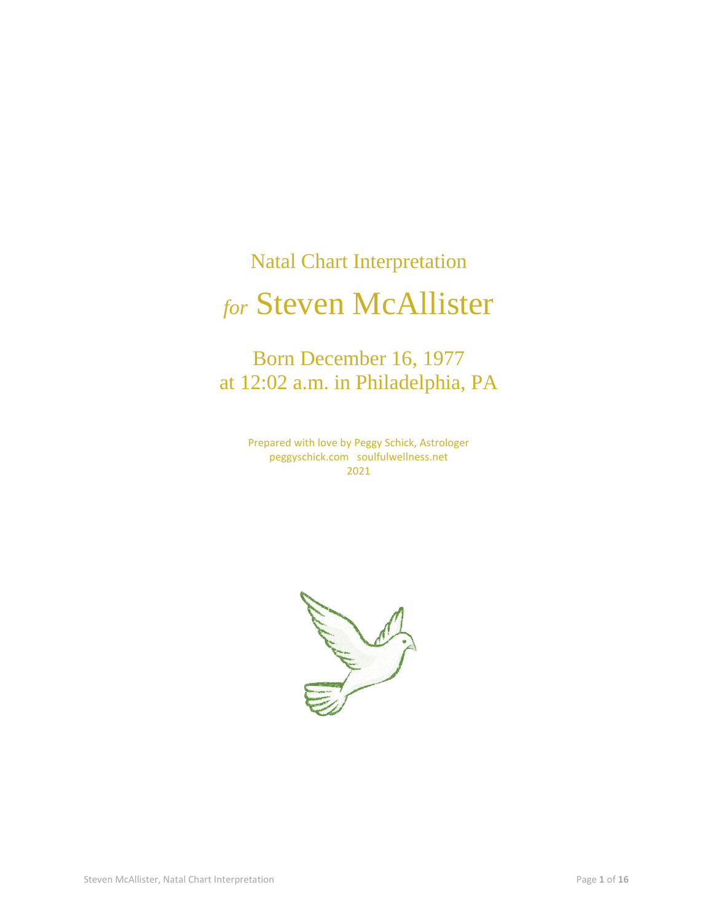# Natal Chart Interpretation *for* Steven McAllister

## Born December 16, 1977 at 12:02 a.m. in Philadelphia, PA

Prepared with love by Peggy Schick, Astrologer peggyschick.com soulfulwellness.net 2021

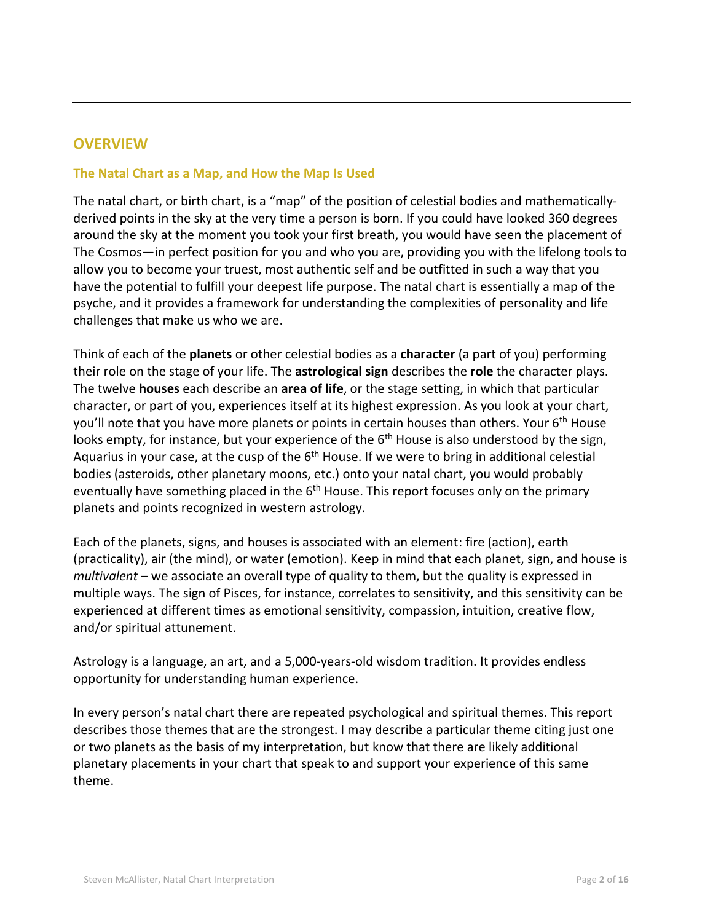#### **OVERVIEW**

#### **The Natal Chart as a Map, and How the Map Is Used**

The natal chart, or birth chart, is a "map" of the position of celestial bodies and mathematicallyderived points in the sky at the very time a person is born. If you could have looked 360 degrees around the sky at the moment you took your first breath, you would have seen the placement of The Cosmos—in perfect position for you and who you are, providing you with the lifelong tools to allow you to become your truest, most authentic self and be outfitted in such a way that you have the potential to fulfill your deepest life purpose. The natal chart is essentially a map of the psyche, and it provides a framework for understanding the complexities of personality and life challenges that make us who we are.

Think of each of the **planets** or other celestial bodies as a **character** (a part of you) performing their role on the stage of your life. The **astrological sign** describes the **role** the character plays. The twelve **houses** each describe an **area of life**, or the stage setting, in which that particular character, or part of you, experiences itself at its highest expression. As you look at your chart, you'll note that you have more planets or points in certain houses than others. Your  $6<sup>th</sup>$  House looks empty, for instance, but your experience of the  $6<sup>th</sup>$  House is also understood by the sign, Aguarius in your case, at the cusp of the 6<sup>th</sup> House. If we were to bring in additional celestial bodies (asteroids, other planetary moons, etc.) onto your natal chart, you would probably eventually have something placed in the  $6<sup>th</sup>$  House. This report focuses only on the primary planets and points recognized in western astrology.

Each of the planets, signs, and houses is associated with an element: fire (action), earth (practicality), air (the mind), or water (emotion). Keep in mind that each planet, sign, and house is *multivalent* – we associate an overall type of quality to them, but the quality is expressed in multiple ways. The sign of Pisces, for instance, correlates to sensitivity, and this sensitivity can be experienced at different times as emotional sensitivity, compassion, intuition, creative flow, and/or spiritual attunement.

Astrology is a language, an art, and a 5,000-years-old wisdom tradition. It provides endless opportunity for understanding human experience.

In every person's natal chart there are repeated psychological and spiritual themes. This report describes those themes that are the strongest. I may describe a particular theme citing just one or two planets as the basis of my interpretation, but know that there are likely additional planetary placements in your chart that speak to and support your experience of this same theme.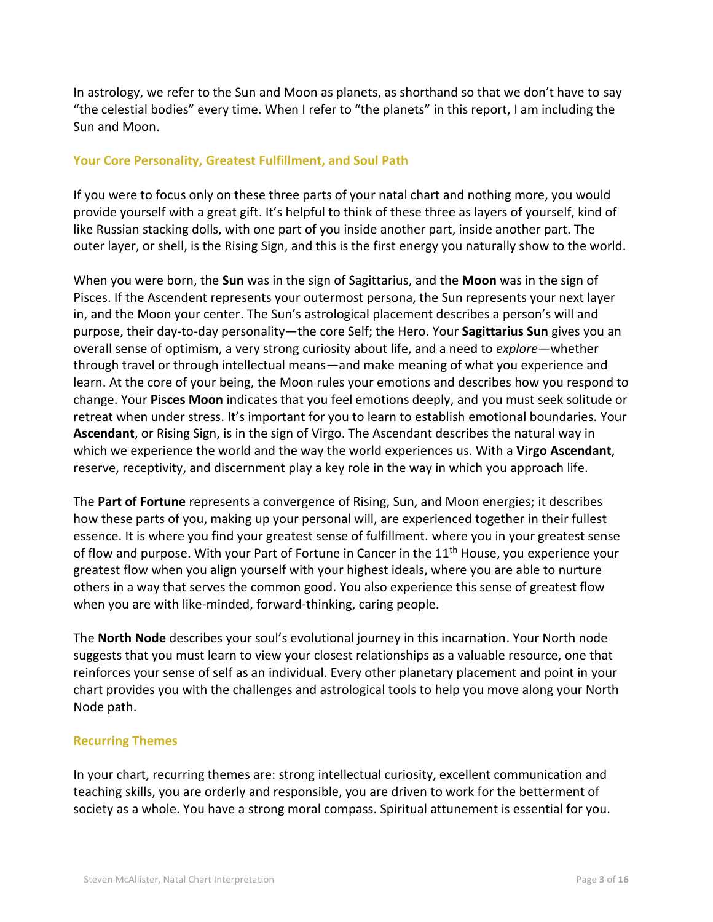In astrology, we refer to the Sun and Moon as planets, as shorthand so that we don't have to say "the celestial bodies" every time. When I refer to "the planets" in this report, I am including the Sun and Moon.

#### **Your Core Personality, Greatest Fulfillment, and Soul Path**

If you were to focus only on these three parts of your natal chart and nothing more, you would provide yourself with a great gift. It's helpful to think of these three as layers of yourself, kind of like Russian stacking dolls, with one part of you inside another part, inside another part. The outer layer, or shell, is the Rising Sign, and this is the first energy you naturally show to the world.

When you were born, the **Sun** was in the sign of Sagittarius, and the **Moon** was in the sign of Pisces. If the Ascendent represents your outermost persona, the Sun represents your next layer in, and the Moon your center. The Sun's astrological placement describes a person's will and purpose, their day-to-day personality—the core Self; the Hero. Your **Sagittarius Sun** gives you an overall sense of optimism, a very strong curiosity about life, and a need to *explore—*whether through travel or through intellectual means—and make meaning of what you experience and learn. At the core of your being, the Moon rules your emotions and describes how you respond to change. Your **Pisces Moon** indicates that you feel emotions deeply, and you must seek solitude or retreat when under stress. It's important for you to learn to establish emotional boundaries. Your **Ascendant**, or Rising Sign, is in the sign of Virgo. The Ascendant describes the natural way in which we experience the world and the way the world experiences us. With a **Virgo Ascendant**, reserve, receptivity, and discernment play a key role in the way in which you approach life.

The **Part of Fortune** represents a convergence of Rising, Sun, and Moon energies; it describes how these parts of you, making up your personal will, are experienced together in their fullest essence. It is where you find your greatest sense of fulfillment. where you in your greatest sense of flow and purpose. With your Part of Fortune in Cancer in the 11<sup>th</sup> House, you experience your greatest flow when you align yourself with your highest ideals, where you are able to nurture others in a way that serves the common good. You also experience this sense of greatest flow when you are with like-minded, forward-thinking, caring people.

The **North Node** describes your soul's evolutional journey in this incarnation. Your North node suggests that you must learn to view your closest relationships as a valuable resource, one that reinforces your sense of self as an individual. Every other planetary placement and point in your chart provides you with the challenges and astrological tools to help you move along your North Node path.

#### **Recurring Themes**

In your chart, recurring themes are: strong intellectual curiosity, excellent communication and teaching skills, you are orderly and responsible, you are driven to work for the betterment of society as a whole. You have a strong moral compass. Spiritual attunement is essential for you.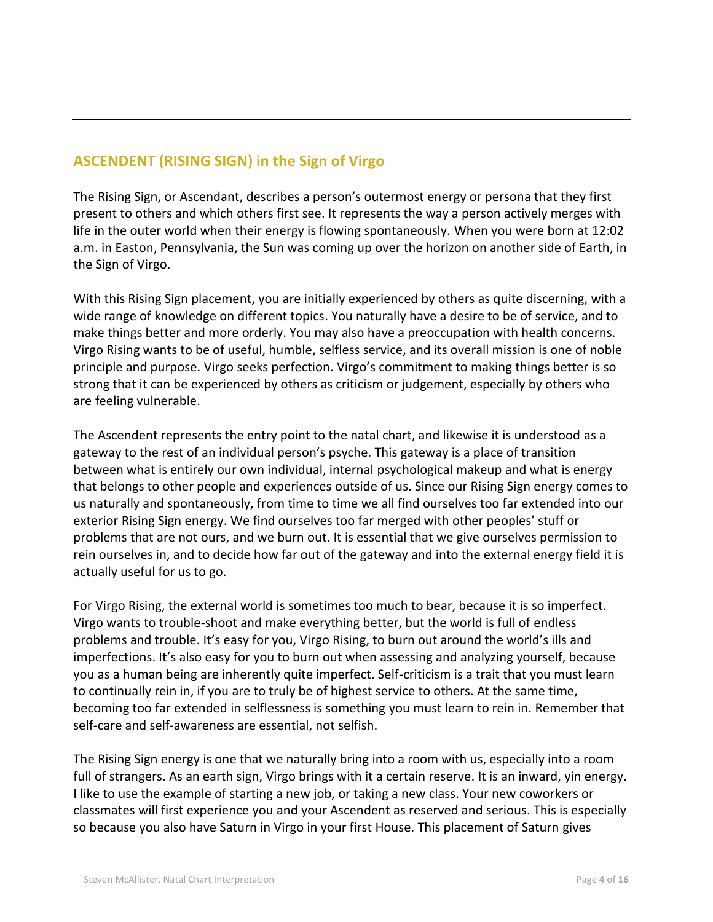## **ASCENDENT (RISING SIGN) in the Sign of Virgo**

The Rising Sign, or Ascendant, describes a person's outermost energy or persona that they first present to others and which others first see. It represents the way a person actively merges with life in the outer world when their energy is flowing spontaneously. When you were born at 12:02 a.m. in Easton, Pennsylvania, the Sun was coming up over the horizon on another side of Earth, in the Sign of Virgo.

With this Rising Sign placement, you are initially experienced by others as quite discerning, with a wide range of knowledge on different topics. You naturally have a desire to be of service, and to make things better and more orderly. You may also have a preoccupation with health concerns. Virgo Rising wants to be of useful, humble, selfless service, and its overall mission is one of noble principle and purpose. Virgo seeks perfection. Virgo's commitment to making things better is so strong that it can be experienced by others as criticism or judgement, especially by others who are feeling vulnerable.

The Ascendent represents the entry point to the natal chart, and likewise it is understood as a gateway to the rest of an individual person's psyche. This gateway is a place of transition between what is entirely our own individual, internal psychological makeup and what is energy that belongs to other people and experiences outside of us. Since our Rising Sign energy comes to us naturally and spontaneously, from time to time we all find ourselves too far extended into our exterior Rising Sign energy. We find ourselves too far merged with other peoples' stuff or problems that are not ours, and we burn out. It is essential that we give ourselves permission to rein ourselves in, and to decide how far out of the gateway and into the external energy field it is actually useful for us to go.

For Virgo Rising, the external world is sometimes too much to bear, because it is so imperfect. Virgo wants to trouble-shoot and make everything better, but the world is full of endless problems and trouble. It's easy for you, Virgo Rising, to burn out around the world's ills and imperfections. It's also easy for you to burn out when assessing and analyzing yourself, because you as a human being are inherently quite imperfect. Self-criticism is a trait that you must learn to continually rein in, if you are to truly be of highest service to others. At the same time, becoming too far extended in selflessness is something you must learn to rein in. Remember that self-care and self-awareness are essential, not selfish.

The Rising Sign energy is one that we naturally bring into a room with us, especially into a room full of strangers. As an earth sign, Virgo brings with it a certain reserve. It is an inward, yin energy. I like to use the example of starting a new job, or taking a new class. Your new coworkers or classmates will first experience you and your Ascendent as reserved and serious. This is especially so because you also have Saturn in Virgo in your first House. This placement of Saturn gives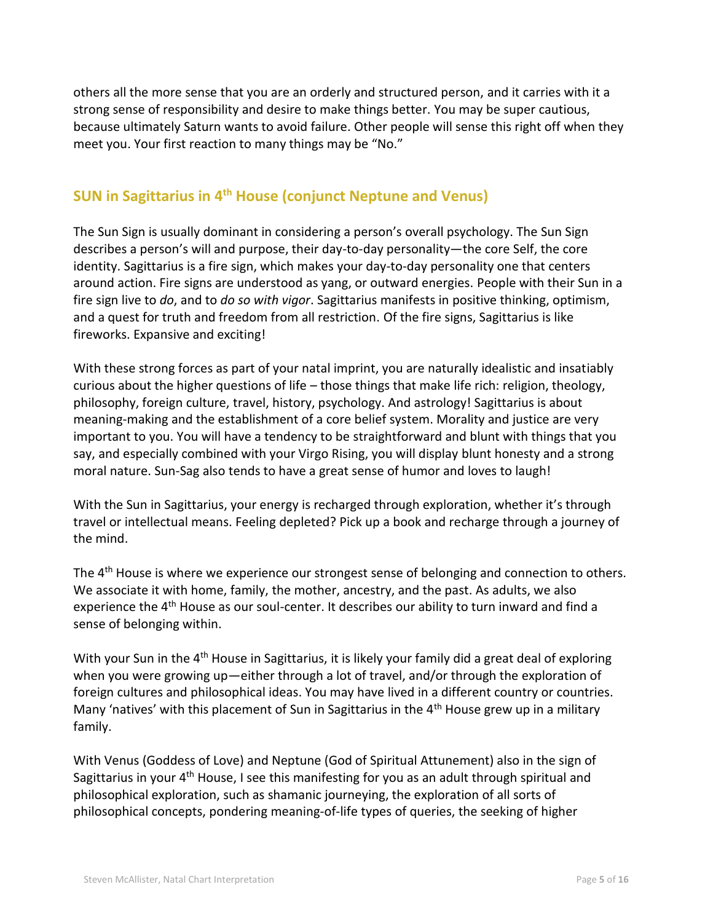others all the more sense that you are an orderly and structured person, and it carries with it a strong sense of responsibility and desire to make things better. You may be super cautious, because ultimately Saturn wants to avoid failure. Other people will sense this right off when they meet you. Your first reaction to many things may be "No."

#### **SUN in Sagittarius in 4th House (conjunct Neptune and Venus)**

The Sun Sign is usually dominant in considering a person's overall psychology. The Sun Sign describes a person's will and purpose, their day-to-day personality—the core Self, the core identity. Sagittarius is a fire sign, which makes your day-to-day personality one that centers around action. Fire signs are understood as yang, or outward energies. People with their Sun in a fire sign live to *do*, and to *do so with vigor*. Sagittarius manifests in positive thinking, optimism, and a quest for truth and freedom from all restriction. Of the fire signs, Sagittarius is like fireworks. Expansive and exciting!

With these strong forces as part of your natal imprint, you are naturally idealistic and insatiably curious about the higher questions of life – those things that make life rich: religion, theology, philosophy, foreign culture, travel, history, psychology. And astrology! Sagittarius is about meaning-making and the establishment of a core belief system. Morality and justice are very important to you. You will have a tendency to be straightforward and blunt with things that you say, and especially combined with your Virgo Rising, you will display blunt honesty and a strong moral nature. Sun-Sag also tends to have a great sense of humor and loves to laugh!

With the Sun in Sagittarius, your energy is recharged through exploration, whether it's through travel or intellectual means. Feeling depleted? Pick up a book and recharge through a journey of the mind.

The 4<sup>th</sup> House is where we experience our strongest sense of belonging and connection to others. We associate it with home, family, the mother, ancestry, and the past. As adults, we also experience the 4<sup>th</sup> House as our soul-center. It describes our ability to turn inward and find a sense of belonging within.

With your Sun in the 4<sup>th</sup> House in Sagittarius, it is likely your family did a great deal of exploring when you were growing up—either through a lot of travel, and/or through the exploration of foreign cultures and philosophical ideas. You may have lived in a different country or countries. Many 'natives' with this placement of Sun in Sagittarius in the 4<sup>th</sup> House grew up in a military family.

With Venus (Goddess of Love) and Neptune (God of Spiritual Attunement) also in the sign of Sagittarius in your  $4<sup>th</sup>$  House, I see this manifesting for you as an adult through spiritual and philosophical exploration, such as shamanic journeying, the exploration of all sorts of philosophical concepts, pondering meaning-of-life types of queries, the seeking of higher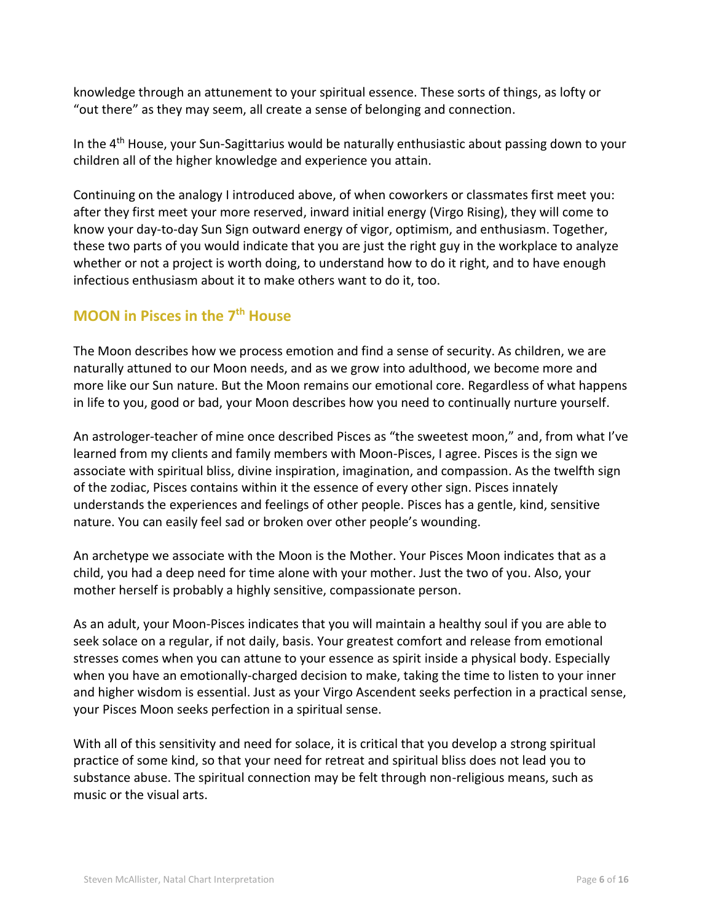knowledge through an attunement to your spiritual essence. These sorts of things, as lofty or "out there" as they may seem, all create a sense of belonging and connection.

In the  $4<sup>th</sup>$  House, your Sun-Sagittarius would be naturally enthusiastic about passing down to your children all of the higher knowledge and experience you attain.

Continuing on the analogy I introduced above, of when coworkers or classmates first meet you: after they first meet your more reserved, inward initial energy (Virgo Rising), they will come to know your day-to-day Sun Sign outward energy of vigor, optimism, and enthusiasm. Together, these two parts of you would indicate that you are just the right guy in the workplace to analyze whether or not a project is worth doing, to understand how to do it right, and to have enough infectious enthusiasm about it to make others want to do it, too.

#### **MOON in Pisces in the 7th House**

The Moon describes how we process emotion and find a sense of security. As children, we are naturally attuned to our Moon needs, and as we grow into adulthood, we become more and more like our Sun nature. But the Moon remains our emotional core. Regardless of what happens in life to you, good or bad, your Moon describes how you need to continually nurture yourself.

An astrologer-teacher of mine once described Pisces as "the sweetest moon," and, from what I've learned from my clients and family members with Moon-Pisces, I agree. Pisces is the sign we associate with spiritual bliss, divine inspiration, imagination, and compassion. As the twelfth sign of the zodiac, Pisces contains within it the essence of every other sign. Pisces innately understands the experiences and feelings of other people. Pisces has a gentle, kind, sensitive nature. You can easily feel sad or broken over other people's wounding.

An archetype we associate with the Moon is the Mother. Your Pisces Moon indicates that as a child, you had a deep need for time alone with your mother. Just the two of you. Also, your mother herself is probably a highly sensitive, compassionate person.

As an adult, your Moon-Pisces indicates that you will maintain a healthy soul if you are able to seek solace on a regular, if not daily, basis. Your greatest comfort and release from emotional stresses comes when you can attune to your essence as spirit inside a physical body. Especially when you have an emotionally-charged decision to make, taking the time to listen to your inner and higher wisdom is essential. Just as your Virgo Ascendent seeks perfection in a practical sense, your Pisces Moon seeks perfection in a spiritual sense.

With all of this sensitivity and need for solace, it is critical that you develop a strong spiritual practice of some kind, so that your need for retreat and spiritual bliss does not lead you to substance abuse. The spiritual connection may be felt through non-religious means, such as music or the visual arts.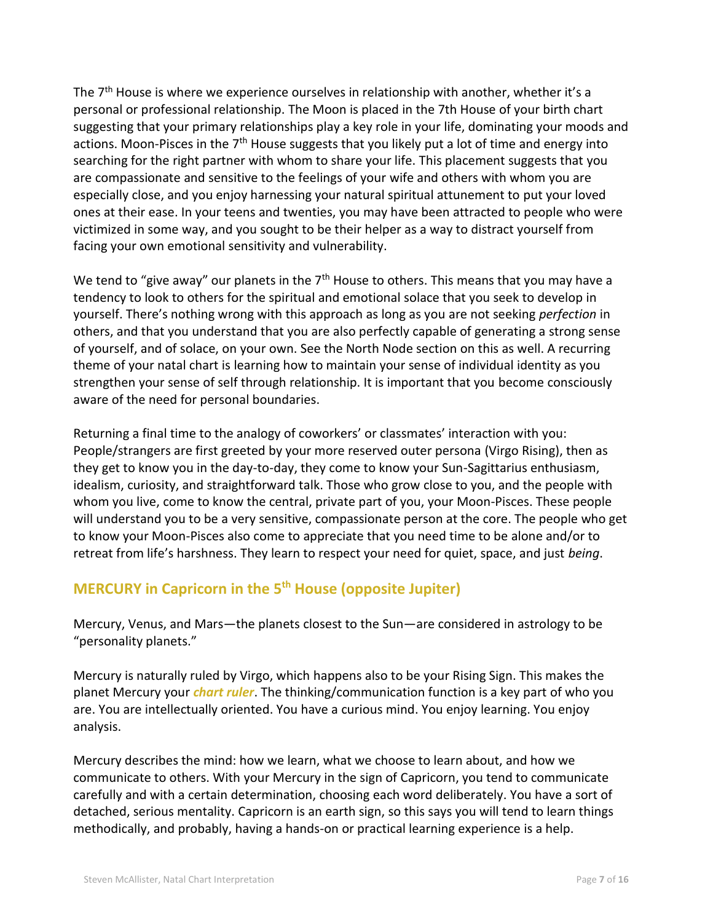The 7<sup>th</sup> House is where we experience ourselves in relationship with another, whether it's a personal or professional relationship. The Moon is placed in the 7th House of your birth chart suggesting that your primary relationships play a key role in your life, dominating your moods and actions. Moon-Pisces in the  $7<sup>th</sup>$  House suggests that you likely put a lot of time and energy into searching for the right partner with whom to share your life. This placement suggests that you are compassionate and sensitive to the feelings of your wife and others with whom you are especially close, and you enjoy harnessing your natural spiritual attunement to put your loved ones at their ease. In your teens and twenties, you may have been attracted to people who were victimized in some way, and you sought to be their helper as a way to distract yourself from facing your own emotional sensitivity and vulnerability.

We tend to "give away" our planets in the  $7<sup>th</sup>$  House to others. This means that you may have a tendency to look to others for the spiritual and emotional solace that you seek to develop in yourself. There's nothing wrong with this approach as long as you are not seeking *perfection* in others, and that you understand that you are also perfectly capable of generating a strong sense of yourself, and of solace, on your own. See the North Node section on this as well. A recurring theme of your natal chart is learning how to maintain your sense of individual identity as you strengthen your sense of self through relationship. It is important that you become consciously aware of the need for personal boundaries.

Returning a final time to the analogy of coworkers' or classmates' interaction with you: People/strangers are first greeted by your more reserved outer persona (Virgo Rising), then as they get to know you in the day-to-day, they come to know your Sun-Sagittarius enthusiasm, idealism, curiosity, and straightforward talk. Those who grow close to you, and the people with whom you live, come to know the central, private part of you, your Moon-Pisces. These people will understand you to be a very sensitive, compassionate person at the core. The people who get to know your Moon-Pisces also come to appreciate that you need time to be alone and/or to retreat from life's harshness. They learn to respect your need for quiet, space, and just *being*.

## **MERCURY in Capricorn in the 5 th House (opposite Jupiter)**

Mercury, Venus, and Mars—the planets closest to the Sun—are considered in astrology to be "personality planets."

Mercury is naturally ruled by Virgo, which happens also to be your Rising Sign. This makes the planet Mercury your *chart ruler*. The thinking/communication function is a key part of who you are. You are intellectually oriented. You have a curious mind. You enjoy learning. You enjoy analysis.

Mercury describes the mind: how we learn, what we choose to learn about, and how we communicate to others. With your Mercury in the sign of Capricorn, you tend to communicate carefully and with a certain determination, choosing each word deliberately. You have a sort of detached, serious mentality. Capricorn is an earth sign, so this says you will tend to learn things methodically, and probably, having a hands-on or practical learning experience is a help.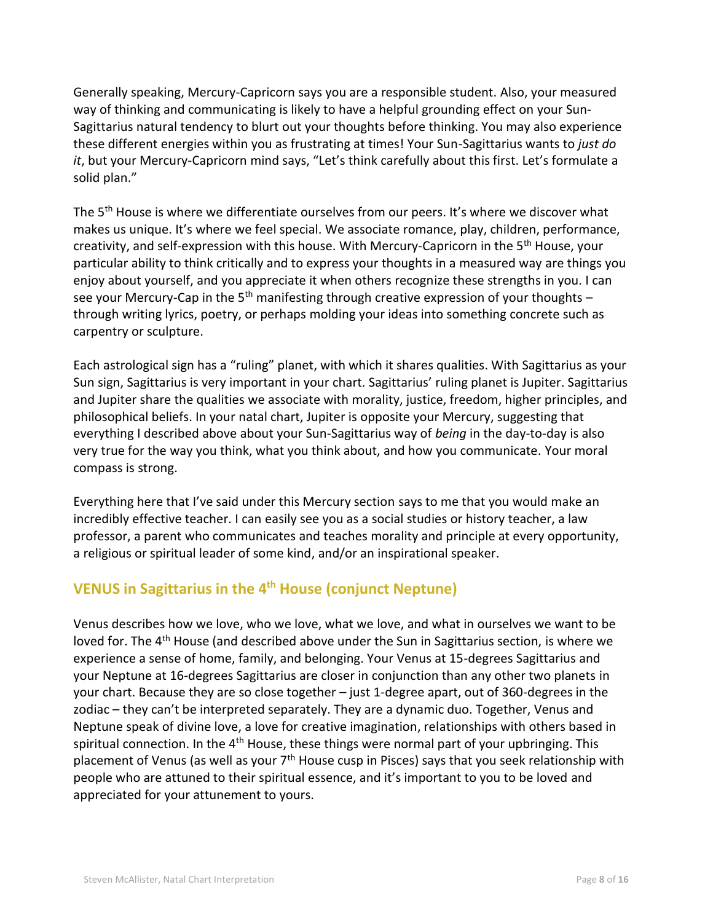Generally speaking, Mercury-Capricorn says you are a responsible student. Also, your measured way of thinking and communicating is likely to have a helpful grounding effect on your Sun-Sagittarius natural tendency to blurt out your thoughts before thinking. You may also experience these different energies within you as frustrating at times! Your Sun-Sagittarius wants to *just do it*, but your Mercury-Capricorn mind says, "Let's think carefully about this first. Let's formulate a solid plan."

The 5<sup>th</sup> House is where we differentiate ourselves from our peers. It's where we discover what makes us unique. It's where we feel special. We associate romance, play, children, performance, creativity, and self-expression with this house. With Mercury-Capricorn in the 5<sup>th</sup> House, your particular ability to think critically and to express your thoughts in a measured way are things you enjoy about yourself, and you appreciate it when others recognize these strengths in you. I can see your Mercury-Cap in the 5<sup>th</sup> manifesting through creative expression of your thoughts  $$ through writing lyrics, poetry, or perhaps molding your ideas into something concrete such as carpentry or sculpture.

Each astrological sign has a "ruling" planet, with which it shares qualities. With Sagittarius as your Sun sign, Sagittarius is very important in your chart. Sagittarius' ruling planet is Jupiter. Sagittarius and Jupiter share the qualities we associate with morality, justice, freedom, higher principles, and philosophical beliefs. In your natal chart, Jupiter is opposite your Mercury, suggesting that everything I described above about your Sun-Sagittarius way of *being* in the day-to-day is also very true for the way you think, what you think about, and how you communicate. Your moral compass is strong.

Everything here that I've said under this Mercury section says to me that you would make an incredibly effective teacher. I can easily see you as a social studies or history teacher, a law professor, a parent who communicates and teaches morality and principle at every opportunity, a religious or spiritual leader of some kind, and/or an inspirational speaker.

#### **VENUS in Sagittarius in the 4 th House (conjunct Neptune)**

Venus describes how we love, who we love, what we love, and what in ourselves we want to be loved for. The 4<sup>th</sup> House (and described above under the Sun in Sagittarius section, is where we experience a sense of home, family, and belonging. Your Venus at 15-degrees Sagittarius and your Neptune at 16-degrees Sagittarius are closer in conjunction than any other two planets in your chart. Because they are so close together – just 1-degree apart, out of 360-degrees in the zodiac – they can't be interpreted separately. They are a dynamic duo. Together, Venus and Neptune speak of divine love, a love for creative imagination, relationships with others based in spiritual connection. In the  $4<sup>th</sup>$  House, these things were normal part of your upbringing. This placement of Venus (as well as your  $7<sup>th</sup>$  House cusp in Pisces) says that you seek relationship with people who are attuned to their spiritual essence, and it's important to you to be loved and appreciated for your attunement to yours.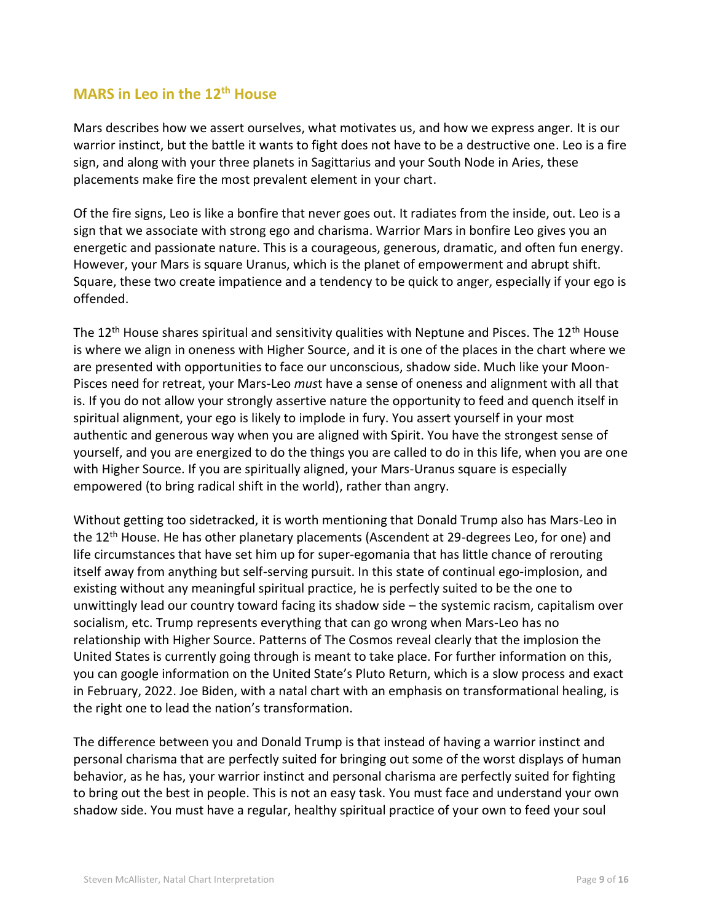#### **MARS in Leo in the 12th House**

Mars describes how we assert ourselves, what motivates us, and how we express anger. It is our warrior instinct, but the battle it wants to fight does not have to be a destructive one. Leo is a fire sign, and along with your three planets in Sagittarius and your South Node in Aries, these placements make fire the most prevalent element in your chart.

Of the fire signs, Leo is like a bonfire that never goes out. It radiates from the inside, out. Leo is a sign that we associate with strong ego and charisma. Warrior Mars in bonfire Leo gives you an energetic and passionate nature. This is a courageous, generous, dramatic, and often fun energy. However, your Mars is square Uranus, which is the planet of empowerment and abrupt shift. Square, these two create impatience and a tendency to be quick to anger, especially if your ego is offended.

The  $12<sup>th</sup>$  House shares spiritual and sensitivity qualities with Neptune and Pisces. The  $12<sup>th</sup>$  House is where we align in oneness with Higher Source, and it is one of the places in the chart where we are presented with opportunities to face our unconscious, shadow side. Much like your Moon-Pisces need for retreat, your Mars-Leo *mus*t have a sense of oneness and alignment with all that is. If you do not allow your strongly assertive nature the opportunity to feed and quench itself in spiritual alignment, your ego is likely to implode in fury. You assert yourself in your most authentic and generous way when you are aligned with Spirit. You have the strongest sense of yourself, and you are energized to do the things you are called to do in this life, when you are one with Higher Source. If you are spiritually aligned, your Mars-Uranus square is especially empowered (to bring radical shift in the world), rather than angry.

Without getting too sidetracked, it is worth mentioning that Donald Trump also has Mars-Leo in the 12<sup>th</sup> House. He has other planetary placements (Ascendent at 29-degrees Leo, for one) and life circumstances that have set him up for super-egomania that has little chance of rerouting itself away from anything but self-serving pursuit. In this state of continual ego-implosion, and existing without any meaningful spiritual practice, he is perfectly suited to be the one to unwittingly lead our country toward facing its shadow side – the systemic racism, capitalism over socialism, etc. Trump represents everything that can go wrong when Mars-Leo has no relationship with Higher Source. Patterns of The Cosmos reveal clearly that the implosion the United States is currently going through is meant to take place. For further information on this, you can google information on the United State's Pluto Return, which is a slow process and exact in February, 2022. Joe Biden, with a natal chart with an emphasis on transformational healing, is the right one to lead the nation's transformation.

The difference between you and Donald Trump is that instead of having a warrior instinct and personal charisma that are perfectly suited for bringing out some of the worst displays of human behavior, as he has, your warrior instinct and personal charisma are perfectly suited for fighting to bring out the best in people. This is not an easy task. You must face and understand your own shadow side. You must have a regular, healthy spiritual practice of your own to feed your soul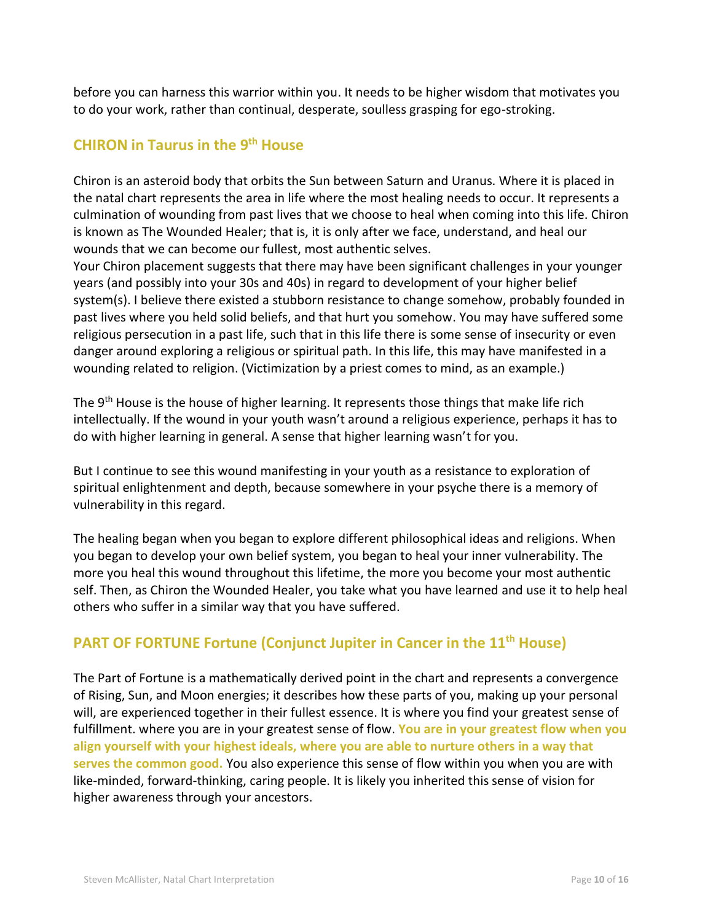before you can harness this warrior within you. It needs to be higher wisdom that motivates you to do your work, rather than continual, desperate, soulless grasping for ego-stroking.

### **CHIRON in Taurus in the 9 th House**

Chiron is an asteroid body that orbits the Sun between Saturn and Uranus. Where it is placed in the natal chart represents the area in life where the most healing needs to occur. It represents a culmination of wounding from past lives that we choose to heal when coming into this life. Chiron is known as The Wounded Healer; that is, it is only after we face, understand, and heal our wounds that we can become our fullest, most authentic selves.

Your Chiron placement suggests that there may have been significant challenges in your younger years (and possibly into your 30s and 40s) in regard to development of your higher belief system(s). I believe there existed a stubborn resistance to change somehow, probably founded in past lives where you held solid beliefs, and that hurt you somehow. You may have suffered some religious persecution in a past life, such that in this life there is some sense of insecurity or even danger around exploring a religious or spiritual path. In this life, this may have manifested in a wounding related to religion. (Victimization by a priest comes to mind, as an example.)

The 9<sup>th</sup> House is the house of higher learning. It represents those things that make life rich intellectually. If the wound in your youth wasn't around a religious experience, perhaps it has to do with higher learning in general. A sense that higher learning wasn't for you.

But I continue to see this wound manifesting in your youth as a resistance to exploration of spiritual enlightenment and depth, because somewhere in your psyche there is a memory of vulnerability in this regard.

The healing began when you began to explore different philosophical ideas and religions. When you began to develop your own belief system, you began to heal your inner vulnerability. The more you heal this wound throughout this lifetime, the more you become your most authentic self. Then, as Chiron the Wounded Healer, you take what you have learned and use it to help heal others who suffer in a similar way that you have suffered.

#### **PART OF FORTUNE Fortune (Conjunct Jupiter in Cancer in the 11th House)**

The Part of Fortune is a mathematically derived point in the chart and represents a convergence of Rising, Sun, and Moon energies; it describes how these parts of you, making up your personal will, are experienced together in their fullest essence. It is where you find your greatest sense of fulfillment. where you are in your greatest sense of flow. **You are in your greatest flow when you align yourself with your highest ideals, where you are able to nurture others in a way that serves the common good.** You also experience this sense of flow within you when you are with like-minded, forward-thinking, caring people. It is likely you inherited this sense of vision for higher awareness through your ancestors.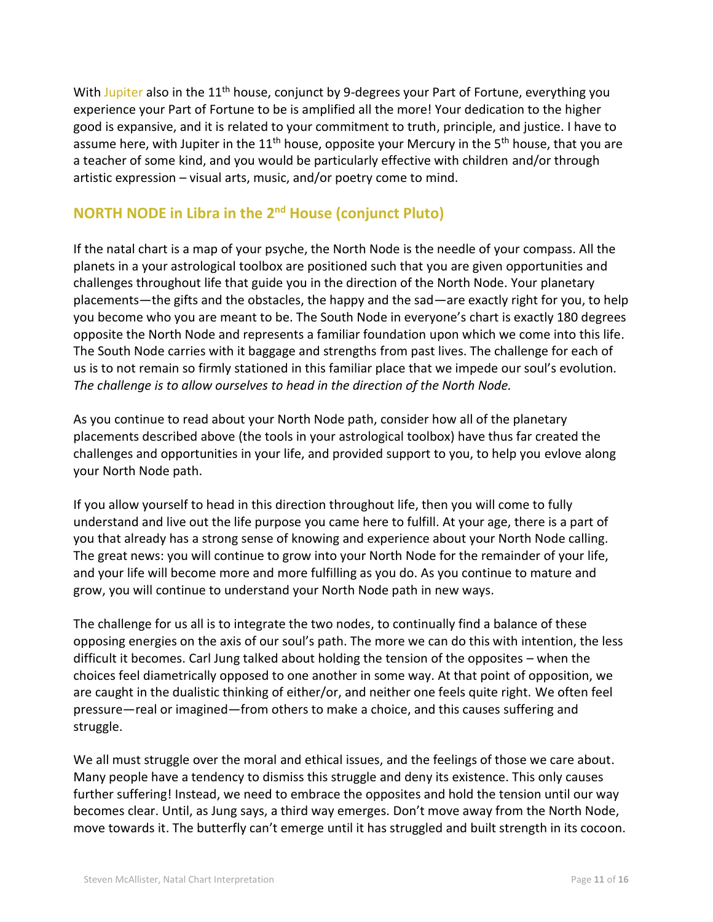With Jupiter also in the 11<sup>th</sup> house, conjunct by 9-degrees your Part of Fortune, everything you experience your Part of Fortune to be is amplified all the more! Your dedication to the higher good is expansive, and it is related to your commitment to truth, principle, and justice. I have to assume here, with Jupiter in the 11<sup>th</sup> house, opposite your Mercury in the 5<sup>th</sup> house, that you are a teacher of some kind, and you would be particularly effective with children and/or through artistic expression – visual arts, music, and/or poetry come to mind.

## **NORTH NODE** in Libra in the 2<sup>nd</sup> House (conjunct Pluto)

If the natal chart is a map of your psyche, the North Node is the needle of your compass. All the planets in a your astrological toolbox are positioned such that you are given opportunities and challenges throughout life that guide you in the direction of the North Node. Your planetary placements—the gifts and the obstacles, the happy and the sad—are exactly right for you, to help you become who you are meant to be. The South Node in everyone's chart is exactly 180 degrees opposite the North Node and represents a familiar foundation upon which we come into this life. The South Node carries with it baggage and strengths from past lives. The challenge for each of us is to not remain so firmly stationed in this familiar place that we impede our soul's evolution*. The challenge is to allow ourselves to head in the direction of the North Node.*

As you continue to read about your North Node path, consider how all of the planetary placements described above (the tools in your astrological toolbox) have thus far created the challenges and opportunities in your life, and provided support to you, to help you evlove along your North Node path.

If you allow yourself to head in this direction throughout life, then you will come to fully understand and live out the life purpose you came here to fulfill. At your age, there is a part of you that already has a strong sense of knowing and experience about your North Node calling. The great news: you will continue to grow into your North Node for the remainder of your life, and your life will become more and more fulfilling as you do. As you continue to mature and grow, you will continue to understand your North Node path in new ways.

The challenge for us all is to integrate the two nodes, to continually find a balance of these opposing energies on the axis of our soul's path. The more we can do this with intention, the less difficult it becomes. Carl Jung talked about holding the tension of the opposites – when the choices feel diametrically opposed to one another in some way. At that point of opposition, we are caught in the dualistic thinking of either/or, and neither one feels quite right. We often feel pressure—real or imagined—from others to make a choice, and this causes suffering and struggle.

We all must struggle over the moral an[d ethical issues,](http://en.wikipedia.org/wiki/Ethics) and the feelings of those we care about. Many people have a tendency to dismiss this struggle and deny its existence. This only causes further suffering! Instead, we need to embrace the opposites and hold the tension until our way becomes clear. Until, as Jung says, a third way emerges. Don't move away from the North Node, move towards it. The butterfly can't emerge until it has struggled and built strength in its cocoon.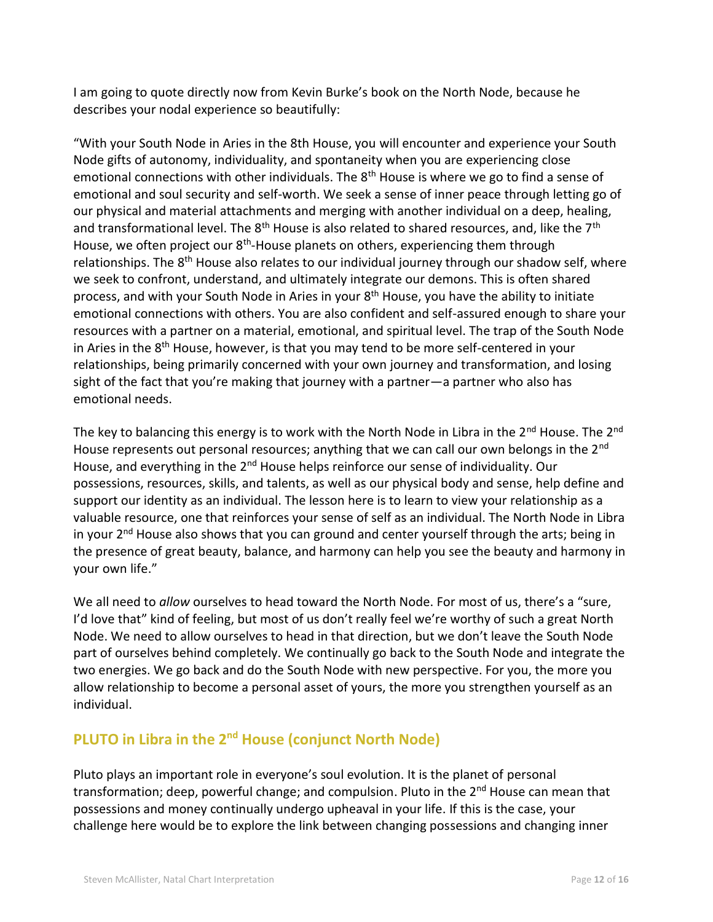I am going to quote directly now from Kevin Burke's book on the North Node, because he describes your nodal experience so beautifully:

"With your South Node in Aries in the 8th House, you will encounter and experience your South Node gifts of autonomy, individuality, and spontaneity when you are experiencing close emotional connections with other individuals. The  $8<sup>th</sup>$  House is where we go to find a sense of emotional and soul security and self-worth. We seek a sense of inner peace through letting go of our physical and material attachments and merging with another individual on a deep, healing, and transformational level. The  $8<sup>th</sup>$  House is also related to shared resources, and, like the  $7<sup>th</sup>$ House, we often project our 8<sup>th</sup>-House planets on others, experiencing them through relationships. The 8<sup>th</sup> House also relates to our individual journey through our shadow self, where we seek to confront, understand, and ultimately integrate our demons. This is often shared process, and with your South Node in Aries in your  $8<sup>th</sup>$  House, you have the ability to initiate emotional connections with others. You are also confident and self-assured enough to share your resources with a partner on a material, emotional, and spiritual level. The trap of the South Node in Aries in the 8<sup>th</sup> House, however, is that you may tend to be more self-centered in your relationships, being primarily concerned with your own journey and transformation, and losing sight of the fact that you're making that journey with a partner—a partner who also has emotional needs.

The key to balancing this energy is to work with the North Node in Libra in the 2<sup>nd</sup> House. The 2<sup>nd</sup> House represents out personal resources; anything that we can call our own belongs in the  $2<sup>nd</sup>$ House, and everything in the 2<sup>nd</sup> House helps reinforce our sense of individuality. Our possessions, resources, skills, and talents, as well as our physical body and sense, help define and support our identity as an individual. The lesson here is to learn to view your relationship as a valuable resource, one that reinforces your sense of self as an individual. The North Node in Libra in your  $2<sup>nd</sup>$  House also shows that you can ground and center yourself through the arts; being in the presence of great beauty, balance, and harmony can help you see the beauty and harmony in your own life."

We all need to *allow* ourselves to head toward the North Node. For most of us, there's a "sure, I'd love that" kind of feeling, but most of us don't really feel we're worthy of such a great North Node. We need to allow ourselves to head in that direction, but we don't leave the South Node part of ourselves behind completely. We continually go back to the South Node and integrate the two energies. We go back and do the South Node with new perspective. For you, the more you allow relationship to become a personal asset of yours, the more you strengthen yourself as an individual.

## **PLUTO in Libra in the 2nd House (conjunct North Node)**

Pluto plays an important role in everyone's soul evolution. It is the planet of personal transformation; deep, powerful change; and compulsion. Pluto in the  $2^{nd}$  House can mean that possessions and money continually undergo upheaval in your life. If this is the case, your challenge here would be to explore the link between changing possessions and changing inner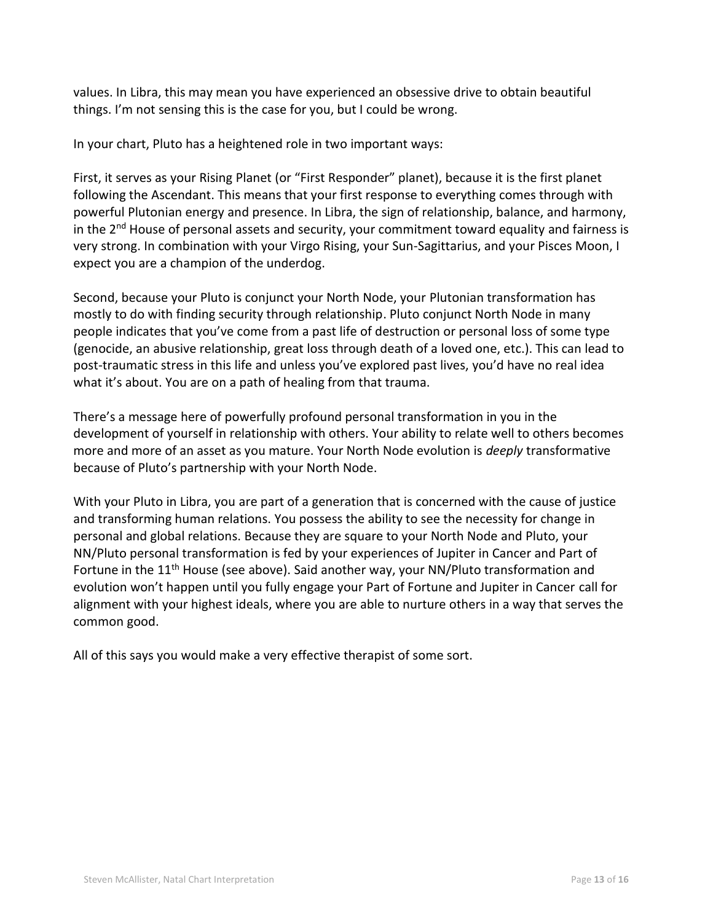values. In Libra, this may mean you have experienced an obsessive drive to obtain beautiful things. I'm not sensing this is the case for you, but I could be wrong.

In your chart, Pluto has a heightened role in two important ways:

First, it serves as your Rising Planet (or "First Responder" planet), because it is the first planet following the Ascendant. This means that your first response to everything comes through with powerful Plutonian energy and presence. In Libra, the sign of relationship, balance, and harmony, in the  $2^{nd}$  House of personal assets and security, your commitment toward equality and fairness is very strong. In combination with your Virgo Rising, your Sun-Sagittarius, and your Pisces Moon, I expect you are a champion of the underdog.

Second, because your Pluto is conjunct your North Node, your Plutonian transformation has mostly to do with finding security through relationship. Pluto conjunct North Node in many people indicates that you've come from a past life of destruction or personal loss of some type (genocide, an abusive relationship, great loss through death of a loved one, etc.). This can lead to post-traumatic stress in this life and unless you've explored past lives, you'd have no real idea what it's about. You are on a path of healing from that trauma.

There's a message here of powerfully profound personal transformation in you in the development of yourself in relationship with others. Your ability to relate well to others becomes more and more of an asset as you mature. Your North Node evolution is *deeply* transformative because of Pluto's partnership with your North Node.

With your Pluto in Libra, you are part of a generation that is concerned with the cause of justice and transforming human relations. You possess the ability to see the necessity for change in personal and global relations. Because they are square to your North Node and Pluto, your NN/Pluto personal transformation is fed by your experiences of Jupiter in Cancer and Part of Fortune in the 11<sup>th</sup> House (see above). Said another way, your NN/Pluto transformation and evolution won't happen until you fully engage your Part of Fortune and Jupiter in Cancer call for alignment with your highest ideals, where you are able to nurture others in a way that serves the common good.

All of this says you would make a very effective therapist of some sort.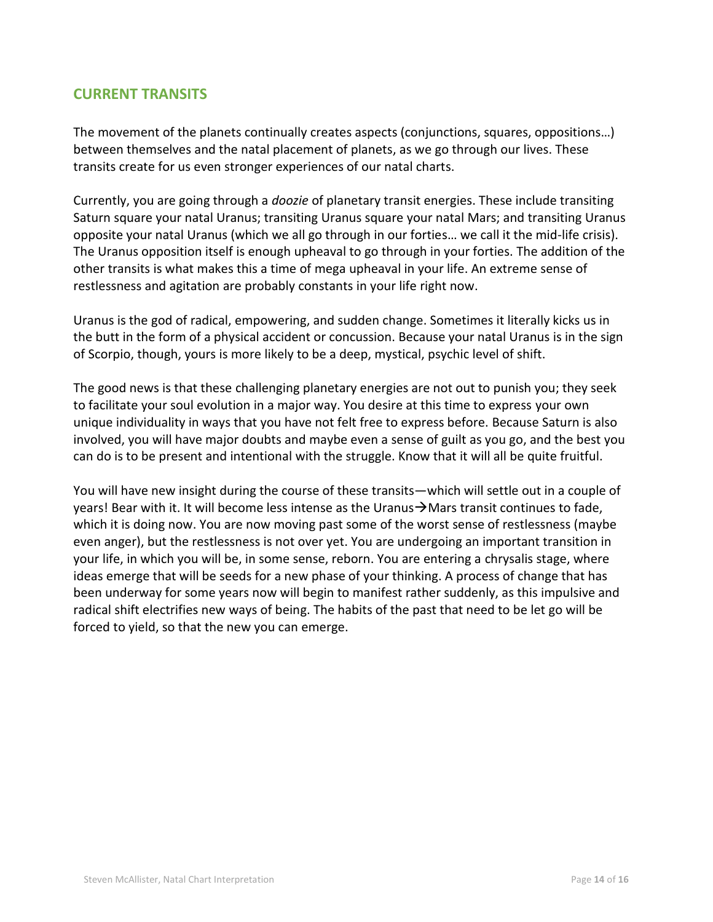#### **CURRENT TRANSITS**

The movement of the planets continually creates aspects (conjunctions, squares, oppositions…) between themselves and the natal placement of planets, as we go through our lives. These transits create for us even stronger experiences of our natal charts.

Currently, you are going through a *doozie* of planetary transit energies. These include transiting Saturn square your natal Uranus; transiting Uranus square your natal Mars; and transiting Uranus opposite your natal Uranus (which we all go through in our forties… we call it the mid-life crisis). The Uranus opposition itself is enough upheaval to go through in your forties. The addition of the other transits is what makes this a time of mega upheaval in your life. An extreme sense of restlessness and agitation are probably constants in your life right now.

Uranus is the god of radical, empowering, and sudden change. Sometimes it literally kicks us in the butt in the form of a physical accident or concussion. Because your natal Uranus is in the sign of Scorpio, though, yours is more likely to be a deep, mystical, psychic level of shift.

The good news is that these challenging planetary energies are not out to punish you; they seek to facilitate your soul evolution in a major way. You desire at this time to express your own unique individuality in ways that you have not felt free to express before. Because Saturn is also involved, you will have major doubts and maybe even a sense of guilt as you go, and the best you can do is to be present and intentional with the struggle. Know that it will all be quite fruitful.

You will have new insight during the course of these transits—which will settle out in a couple of years! Bear with it. It will become less intense as the Uranus→Mars transit continues to fade, which it is doing now. You are now moving past some of the worst sense of restlessness (maybe even anger), but the restlessness is not over yet. You are undergoing an important transition in your life, in which you will be, in some sense, reborn. You are entering a chrysalis stage, where ideas emerge that will be seeds for a new phase of your thinking. A process of change that has been underway for some years now will begin to manifest rather suddenly, as this impulsive and radical shift electrifies new ways of being. The habits of the past that need to be let go will be forced to yield, so that the new you can emerge.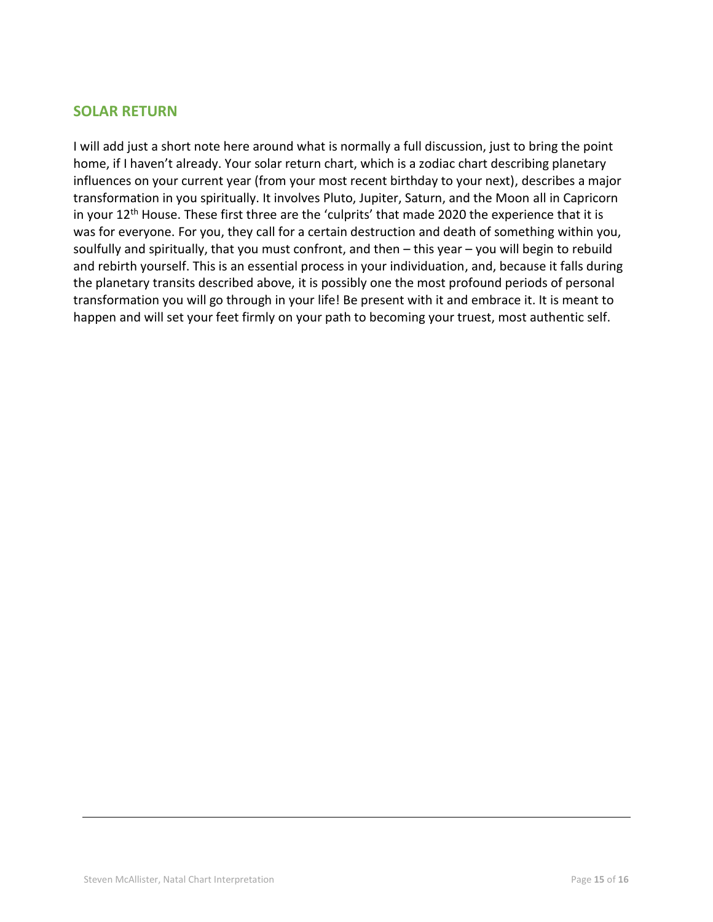#### **SOLAR RETURN**

I will add just a short note here around what is normally a full discussion, just to bring the point home, if I haven't already. Your solar return chart, which is a zodiac chart describing planetary influences on your current year (from your most recent birthday to your next), describes a major transformation in you spiritually. It involves Pluto, Jupiter, Saturn, and the Moon all in Capricorn in your 12<sup>th</sup> House. These first three are the 'culprits' that made 2020 the experience that it is was for everyone. For you, they call for a certain destruction and death of something within you, soulfully and spiritually, that you must confront, and then – this year – you will begin to rebuild and rebirth yourself. This is an essential process in your individuation, and, because it falls during the planetary transits described above, it is possibly one the most profound periods of personal transformation you will go through in your life! Be present with it and embrace it. It is meant to happen and will set your feet firmly on your path to becoming your truest, most authentic self.